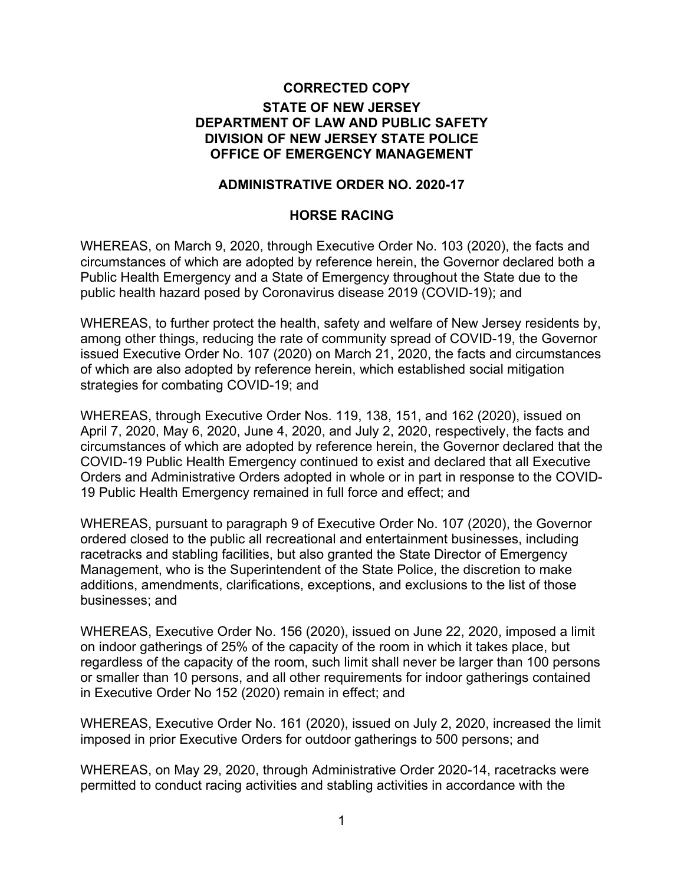## **CORRECTED COPY STATE OF NEW JERSEY DEPARTMENT OF LAW AND PUBLIC SAFETY DIVISION OF NEW JERSEY STATE POLICE OFFICE OF EMERGENCY MANAGEMENT**

## **ADMINISTRATIVE ORDER NO. 2020-17**

## **HORSE RACING**

WHEREAS, on March 9, 2020, through Executive Order No. 103 (2020), the facts and circumstances of which are adopted by reference herein, the Governor declared both a Public Health Emergency and a State of Emergency throughout the State due to the public health hazard posed by Coronavirus disease 2019 (COVID-19); and

WHEREAS, to further protect the health, safety and welfare of New Jersey residents by, among other things, reducing the rate of community spread of COVID-19, the Governor issued Executive Order No. 107 (2020) on March 21, 2020, the facts and circumstances of which are also adopted by reference herein, which established social mitigation strategies for combating COVID-19; and

WHEREAS, through Executive Order Nos. 119, 138, 151, and 162 (2020), issued on April 7, 2020, May 6, 2020, June 4, 2020, and July 2, 2020, respectively, the facts and circumstances of which are adopted by reference herein, the Governor declared that the COVID-19 Public Health Emergency continued to exist and declared that all Executive Orders and Administrative Orders adopted in whole or in part in response to the COVID-19 Public Health Emergency remained in full force and effect; and

WHEREAS, pursuant to paragraph 9 of Executive Order No. 107 (2020), the Governor ordered closed to the public all recreational and entertainment businesses, including racetracks and stabling facilities, but also granted the State Director of Emergency Management, who is the Superintendent of the State Police, the discretion to make additions, amendments, clarifications, exceptions, and exclusions to the list of those businesses; and

WHEREAS, Executive Order No. 156 (2020), issued on June 22, 2020, imposed a limit on indoor gatherings of 25% of the capacity of the room in which it takes place, but regardless of the capacity of the room, such limit shall never be larger than 100 persons or smaller than 10 persons, and all other requirements for indoor gatherings contained in Executive Order No 152 (2020) remain in effect; and

WHEREAS, Executive Order No. 161 (2020), issued on July 2, 2020, increased the limit imposed in prior Executive Orders for outdoor gatherings to 500 persons; and

WHEREAS, on May 29, 2020, through Administrative Order 2020-14, racetracks were permitted to conduct racing activities and stabling activities in accordance with the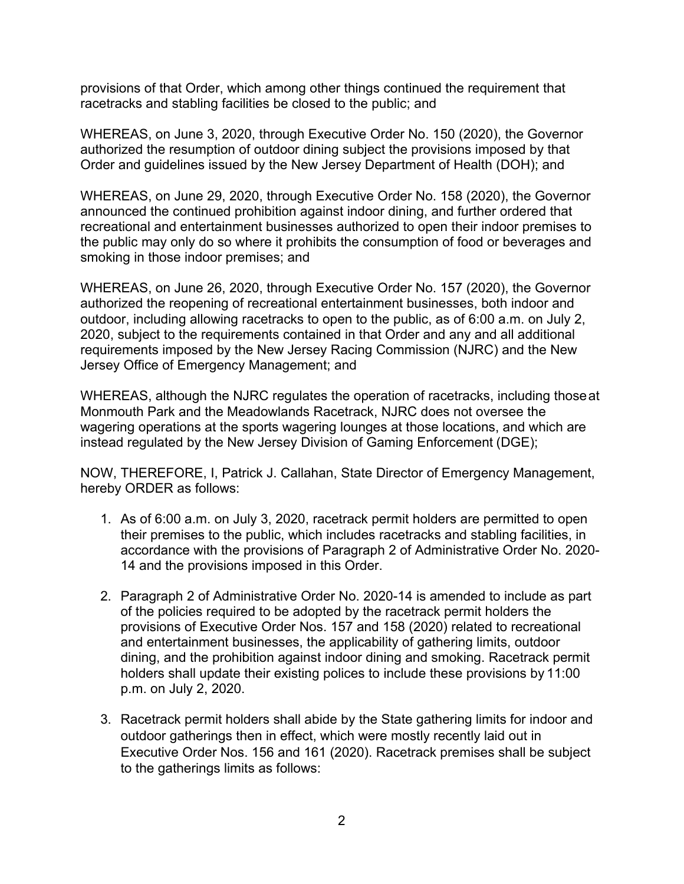provisions of that Order, which among other things continued the requirement that racetracks and stabling facilities be closed to the public; and

WHEREAS, on June 3, 2020, through Executive Order No. 150 (2020), the Governor authorized the resumption of outdoor dining subject the provisions imposed by that Order and guidelines issued by the New Jersey Department of Health (DOH); and

WHEREAS, on June 29, 2020, through Executive Order No. 158 (2020), the Governor announced the continued prohibition against indoor dining, and further ordered that recreational and entertainment businesses authorized to open their indoor premises to the public may only do so where it prohibits the consumption of food or beverages and smoking in those indoor premises; and

WHEREAS, on June 26, 2020, through Executive Order No. 157 (2020), the Governor authorized the reopening of recreational entertainment businesses, both indoor and outdoor, including allowing racetracks to open to the public, as of 6:00 a.m. on July 2, 2020, subject to the requirements contained in that Order and any and all additional requirements imposed by the New Jersey Racing Commission (NJRC) and the New Jersey Office of Emergency Management; and

WHEREAS, although the NJRC regulates the operation of racetracks, including thoseat Monmouth Park and the Meadowlands Racetrack, NJRC does not oversee the wagering operations at the sports wagering lounges at those locations, and which are instead regulated by the New Jersey Division of Gaming Enforcement (DGE);

NOW, THEREFORE, I, Patrick J. Callahan, State Director of Emergency Management, hereby ORDER as follows:

- 1. As of 6:00 a.m. on July 3, 2020, racetrack permit holders are permitted to open their premises to the public, which includes racetracks and stabling facilities, in accordance with the provisions of Paragraph 2 of Administrative Order No. 2020- 14 and the provisions imposed in this Order.
- 2. Paragraph 2 of Administrative Order No. 2020-14 is amended to include as part of the policies required to be adopted by the racetrack permit holders the provisions of Executive Order Nos. 157 and 158 (2020) related to recreational and entertainment businesses, the applicability of gathering limits, outdoor dining, and the prohibition against indoor dining and smoking. Racetrack permit holders shall update their existing polices to include these provisions by 11:00 p.m. on July 2, 2020.
- 3. Racetrack permit holders shall abide by the State gathering limits for indoor and outdoor gatherings then in effect, which were mostly recently laid out in Executive Order Nos. 156 and 161 (2020). Racetrack premises shall be subject to the gatherings limits as follows: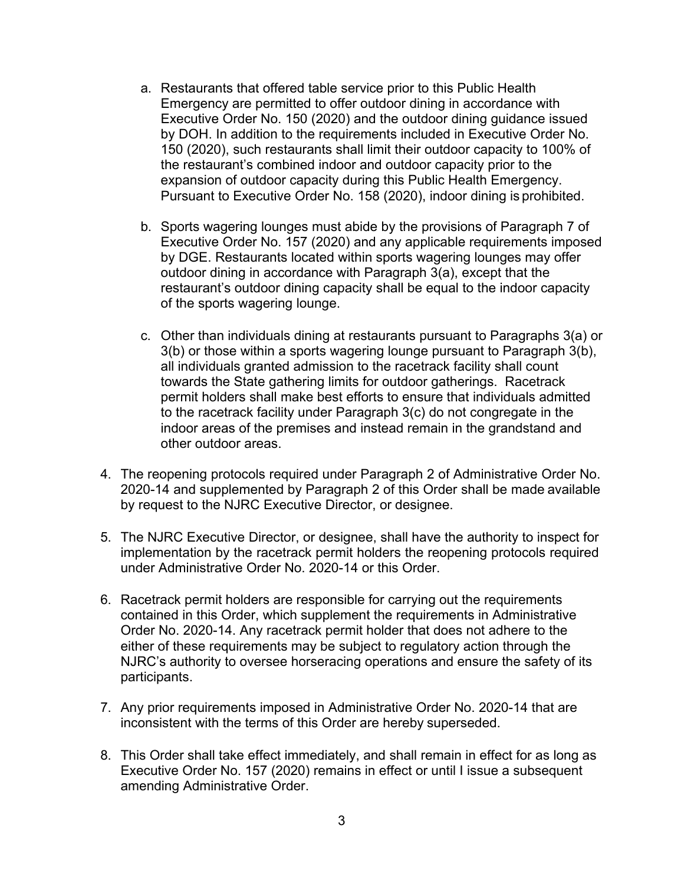- a. Restaurants that offered table service prior to this Public Health Emergency are permitted to offer outdoor dining in accordance with Executive Order No. 150 (2020) and the outdoor dining guidance issued by DOH. In addition to the requirements included in Executive Order No. 150 (2020), such restaurants shall limit their outdoor capacity to 100% of the restaurant's combined indoor and outdoor capacity prior to the expansion of outdoor capacity during this Public Health Emergency. Pursuant to Executive Order No. 158 (2020), indoor dining is prohibited.
- b. Sports wagering lounges must abide by the provisions of Paragraph 7 of Executive Order No. 157 (2020) and any applicable requirements imposed by DGE. Restaurants located within sports wagering lounges may offer outdoor dining in accordance with Paragraph 3(a), except that the restaurant's outdoor dining capacity shall be equal to the indoor capacity of the sports wagering lounge.
- c. Other than individuals dining at restaurants pursuant to Paragraphs 3(a) or 3(b) or those within a sports wagering lounge pursuant to Paragraph 3(b), all individuals granted admission to the racetrack facility shall count towards the State gathering limits for outdoor gatherings. Racetrack permit holders shall make best efforts to ensure that individuals admitted to the racetrack facility under Paragraph 3(c) do not congregate in the indoor areas of the premises and instead remain in the grandstand and other outdoor areas.
- 4. The reopening protocols required under Paragraph 2 of Administrative Order No. 2020-14 and supplemented by Paragraph 2 of this Order shall be made available by request to the NJRC Executive Director, or designee.
- 5. The NJRC Executive Director, or designee, shall have the authority to inspect for implementation by the racetrack permit holders the reopening protocols required under Administrative Order No. 2020-14 or this Order.
- 6. Racetrack permit holders are responsible for carrying out the requirements contained in this Order, which supplement the requirements in Administrative Order No. 2020-14. Any racetrack permit holder that does not adhere to the either of these requirements may be subject to regulatory action through the NJRC's authority to oversee horseracing operations and ensure the safety of its participants.
- 7. Any prior requirements imposed in Administrative Order No. 2020-14 that are inconsistent with the terms of this Order are hereby superseded.
- 8. This Order shall take effect immediately, and shall remain in effect for as long as Executive Order No. 157 (2020) remains in effect or until I issue a subsequent amending Administrative Order.